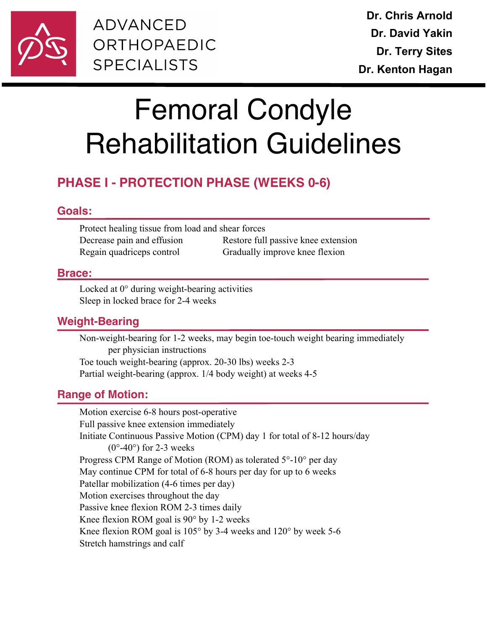

**ADVANCED** ORTHOPAEDIC **SPECIALISTS** 

# Femoral Condyle Rehabilitation Guidelines

# **PHASE I - PROTECTION PHASE (WEEKS 0-6)**

## **Goals:**

Protect healing tissue from load and shear forces Decrease pain and effusion Restore full passive knee extension Regain quadriceps control Gradually improve knee flexion

#### **Brace:**

Locked at 0° during weight-bearing activities Sleep in locked brace for 2-4 weeks

# **Weight-Bearing**

Non-weight-bearing for 1-2 weeks, may begin toe-touch weight bearing immediately per physician instructions Toe touch weight-bearing (approx. 20-30 lbs) weeks 2-3 Partial weight-bearing (approx. 1/4 body weight) at weeks 4-5

# **Range of Motion:**

Motion exercise 6-8 hours post-operative Full passive knee extension immediately Initiate Continuous Passive Motion (CPM) day 1 for total of 8-12 hours/day  $(0^{\circ}$ -40°) for 2-3 weeks Progress CPM Range of Motion (ROM) as tolerated 5°-10° per day May continue CPM for total of 6-8 hours per day for up to 6 weeks Patellar mobilization (4-6 times per day) Motion exercises throughout the day Passive knee flexion ROM 2-3 times daily Knee flexion ROM goal is 90° by 1-2 weeks Knee flexion ROM goal is 105° by 3-4 weeks and 120° by week 5-6 Stretch hamstrings and calf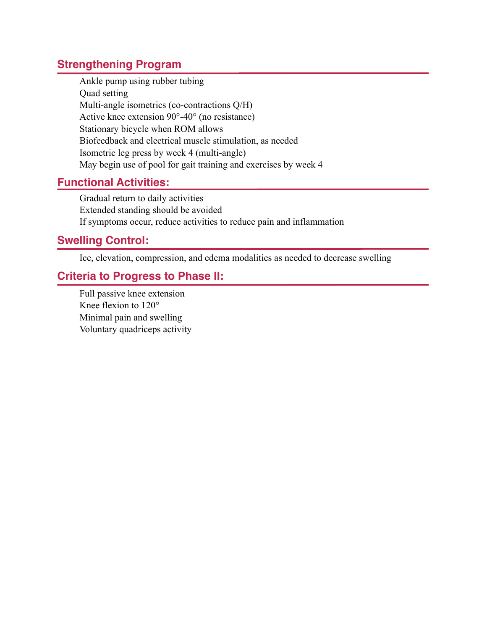# **Strengthening Program**

Ankle pump using rubber tubing Quad setting Multi-angle isometrics (co-contractions Q/H) Active knee extension 90°-40° (no resistance) Stationary bicycle when ROM allows Biofeedback and electrical muscle stimulation, as needed Isometric leg press by week 4 (multi-angle) May begin use of pool for gait training and exercises by week 4

# **Functional Activities:**

Gradual return to daily activities Extended standing should be avoided If symptoms occur, reduce activities to reduce pain and inflammation

#### **Swelling Control:**

Ice, elevation, compression, and edema modalities as needed to decrease swelling

## **Criteria to Progress to Phase II:**

Full passive knee extension Knee flexion to 120° Minimal pain and swelling Voluntary quadriceps activity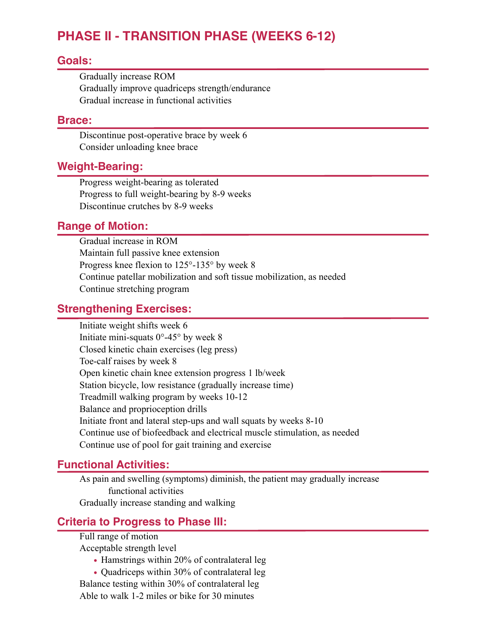# **PHASE II - TRANSITION PHASE (WEEKS 6-12)**

#### **Goals:**

Gradually increase ROM Gradually improve quadriceps strength/endurance Gradual increase in functional activities

#### **Brace:**

Discontinue post-operative brace by week 6 Consider unloading knee brace

#### **Weight-Bearing:**

Progress weight-bearing as tolerated Progress to full weight-bearing by 8-9 weeks Discontinue crutches by 8-9 weeks

#### **Range of Motion:**

Gradual increase in ROM Maintain full passive knee extension Progress knee flexion to 125°-135° by week 8 Continue patellar mobilization and soft tissue mobilization, as needed Continue stretching program

#### **Strengthening Exercises:**

Initiate weight shifts week 6 Initiate mini-squats  $0^{\circ}$ -45° by week 8 Closed kinetic chain exercises (leg press) Toe-calf raises by week 8 Open kinetic chain knee extension progress 1 lb/week Station bicycle, low resistance (gradually increase time) Treadmill walking program by weeks 10-12 Balance and proprioception drills Initiate front and lateral step-ups and wall squats by weeks 8-10 Continue use of biofeedback and electrical muscle stimulation, as needed Continue use of pool for gait training and exercise

#### **Functional Activities:**

As pain and swelling (symptoms) diminish, the patient may gradually increase functional activities Gradually increase standing and walking

#### **Criteria to Progress to Phase III:**

Full range of motion

Acceptable strength level

- Hamstrings within 20% of contralateral leg
- **•** Quadriceps within 30% of contralateral leg

Balance testing within 30% of contralateral leg Able to walk 1-2 miles or bike for 30 minutes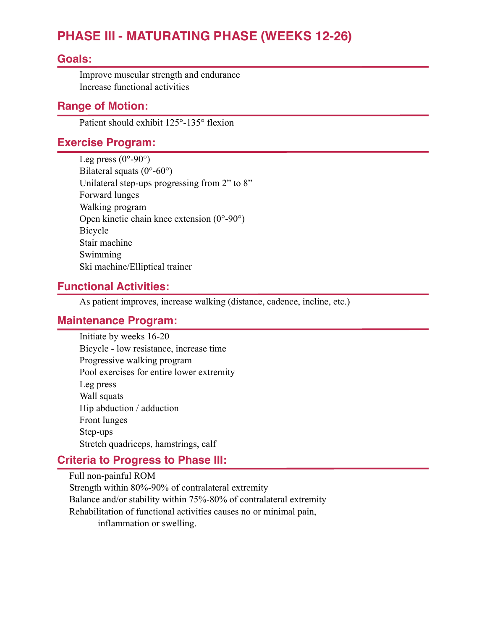# **PHASE III - MATURATING PHASE (WEEKS 12-26)**

#### **Goals:**

Improve muscular strength and endurance Increase functional activities

#### **Range of Motion:**

Patient should exhibit 125°-135° flexion

# **Exercise Program:**

Leg press  $(0^{\circ}$ -90°) Bilateral squats  $(0^{\circ}$ -60°) Unilateral step-ups progressing from 2" to 8" Forward lunges Walking program Open kinetic chain knee extension (0°-90°) Bicycle Stair machine Swimming Ski machine/Elliptical trainer

#### **Functional Activities:**

As patient improves, increase walking (distance, cadence, incline, etc.)

#### **Maintenance Program:**

Initiate by weeks 16-20 Bicycle - low resistance, increase time Progressive walking program Pool exercises for entire lower extremity Leg press Wall squats Hip abduction / adduction Front lunges Step-ups Stretch quadriceps, hamstrings, calf

# **Criteria to Progress to Phase III:**

Full non-painful ROM Strength within 80%-90% of contralateral extremity Balance and/or stability within 75%-80% of contralateral extremity Rehabilitation of functional activities causes no or minimal pain, inflammation or swelling.